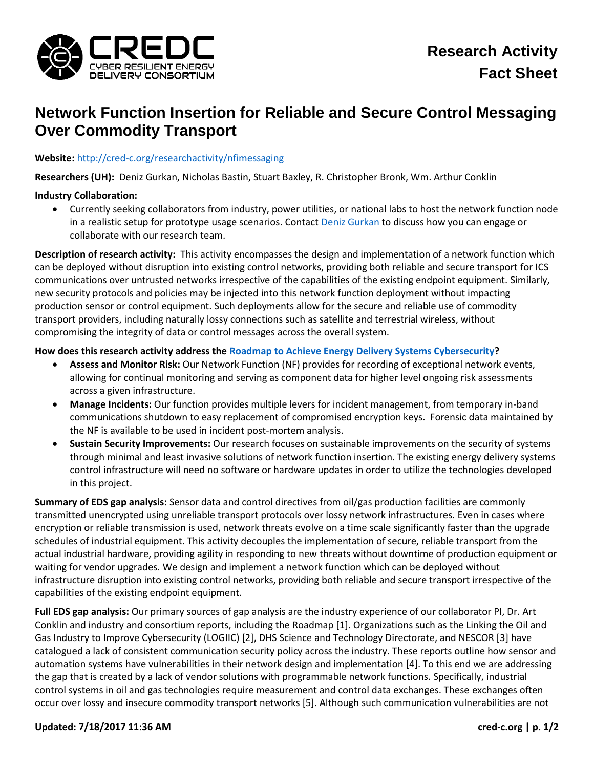

## **Network Function Insertion for Reliable and Secure Control Messaging Over Commodity Transport**

**Website:** <http://cred-c.org/researchactivity/nfimessaging>

**Researchers (UH):** Deniz Gurkan, Nicholas Bastin, Stuart Baxley, R. Christopher Bronk, Wm. Arthur Conklin

## **Industry Collaboration:**

 Currently seeking collaborators from industry, power utilities, or national labs to host the network function node in a realistic setup for prototype usage scenarios. Contact [Deniz Gurkan](http://cred-c.org/people/deniz-gurkan) to discuss how you can engage or collaborate with our research team.

**Description of research activity:** This activity encompasses the design and implementation of a network function which can be deployed without disruption into existing control networks, providing both reliable and secure transport for ICS communications over untrusted networks irrespective of the capabilities of the existing endpoint equipment. Similarly, new security protocols and policies may be injected into this network function deployment without impacting production sensor or control equipment. Such deployments allow for the secure and reliable use of commodity transport providers, including naturally lossy connections such as satellite and terrestrial wireless, without compromising the integrity of data or control messages across the overall system.

## **How does this research activity address the Roadmap [to Achieve Energy Delivery Systems Cybersecurity?](https://energy.gov/oe/downloads/roadmap-achieve-energy-delivery-systems-cybersecurity-2011)**

- **Assess and Monitor Risk:** Our Network Function (NF) provides for recording of exceptional network events, allowing for continual monitoring and serving as component data for higher level ongoing risk assessments across a given infrastructure.
- **Manage Incidents:** Our function provides multiple levers for incident management, from temporary in-band communications shutdown to easy replacement of compromised encryption keys. Forensic data maintained by the NF is available to be used in incident post-mortem analysis.
- **Sustain Security Improvements:** Our research focuses on sustainable improvements on the security of systems through minimal and least invasive solutions of network function insertion. The existing energy delivery systems control infrastructure will need no software or hardware updates in order to utilize the technologies developed in this project.

**Summary of EDS gap analysis:** Sensor data and control directives from oil/gas production facilities are commonly transmitted unencrypted using unreliable transport protocols over lossy network infrastructures. Even in cases where encryption or reliable transmission is used, network threats evolve on a time scale significantly faster than the upgrade schedules of industrial equipment. This activity decouples the implementation of secure, reliable transport from the actual industrial hardware, providing agility in responding to new threats without downtime of production equipment or waiting for vendor upgrades. We design and implement a network function which can be deployed without infrastructure disruption into existing control networks, providing both reliable and secure transport irrespective of the capabilities of the existing endpoint equipment.

**Full EDS gap analysis:** Our primary sources of gap analysis are the industry experience of our collaborator PI, Dr. Art Conklin and industry and consortium reports, including the Roadmap [1]. Organizations such as the Linking the Oil and Gas Industry to Improve Cybersecurity (LOGIIC) [2], DHS Science and Technology Directorate, and NESCOR [3] have catalogued a lack of consistent communication security policy across the industry. These reports outline how sensor and automation systems have vulnerabilities in their network design and implementation [4]. To this end we are addressing the gap that is created by a lack of vendor solutions with programmable network functions. Specifically, industrial control systems in oil and gas technologies require measurement and control data exchanges. These exchanges often occur over lossy and insecure commodity transport networks [5]. Although such communication vulnerabilities are not